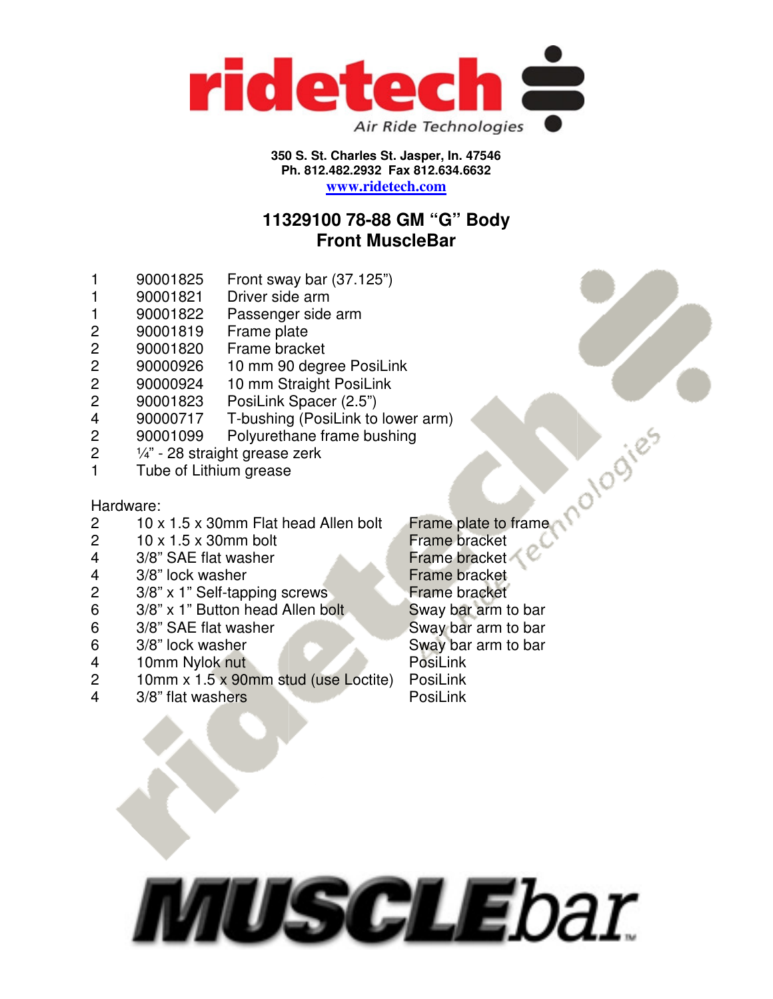

#### **350 S. St. Charles St. Jasper, In. 47546 Ph. 812.482.2932 Fax 812.634.6632 www.ridetech.com**

## **11329100 78-88 GM "G" Body Front MuscleBar**

- 1 90001825 Front sway bar (37.125")
- 1 90001821 Driver side arm
- 1 90001822 Passenger side arm
- 2 90001819 Frame plate
- 2 90001820 Frame bracket
- 2 90000926 10 mm 90 degree PosiLink<br>2 90000924 10 mm Straight PosiLink
- 2 90000924 10 mm Straight PosiLink
- 2 90001823 PosiLink Spacer (2.5")
- 4 90000717 T-bushing (PosiLink to lower arm)
- 2 90001099 Polyurethane frame bushing
- 2 ¼" 28 straight grease zerk
- 1 Tube of Lithium grease

### Hardware:

- 2  $10 \times 1.5 \times 30$  mm Flat head Allen bolt
- $2 \times 10 \times 1.5 \times 30$  mm bolt
- 4 3/8" SAE flat washer
- 
- 3/8" x 1" Self-tapping screws Frame bracket
- 6 3/8" x 1" Button head Allen bolt Sway bar arm to bar
- 6 3/8" SAE flat washer Sway bar arm to bar
- 6 3/8" lock washer Sway bar arm to bar
- 4 10mm Nylok nut PosiLink
- 2 10mm x 1.5 x 90mm stud (use Loctite) PosiLink
- 4 3/8" flat washers PosiLink

mardware:<br>
2 10 x 1.5 x 30mm Flat head Allen bolt<br>
2 10 x 1.5 x 30mm bolt<br>
4 3/8" SAE flat washer<br>
4 3/8" lock washer<br>
2 3/8" x 1" Self-tapping screws<br>
Frame bracket<br>
Frame bracket<br>
Frame bracket<br>
Frame bracket<br>
Frame brac

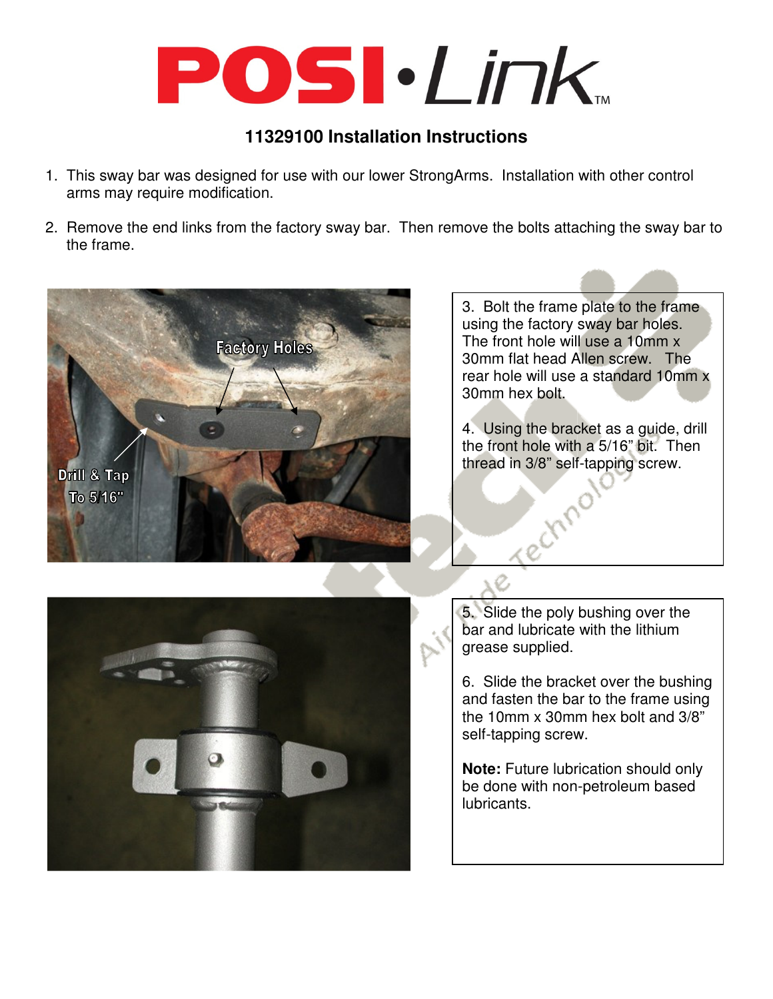# POSI·Link

## **11329100 Installation Instructions**

- 1. This sway bar was designed for use with our lower StrongArms. Installation with other control arms may require modification.
- 2. Remove the end links from the factory sway bar. Then remove the bolts attaching the sway bar to the frame.



3. Bolt the frame plate to the frame using the factory sway bar holes. The front hole will use a 10mm x 30mm flat head Allen screw. The rear hole will use a standard 10mm x 30mm hex bolt.

4. Using the bracket as a guide, drill the front hole with a 5/16" bit. Then thread in 3/8" self-tapping screw.



5. Slide the poly bushing over the bar and lubricate with the lithium grease supplied.

Technic

6. Slide the bracket over the bushing and fasten the bar to the frame using the 10mm x 30mm hex bolt and 3/8" self-tapping screw.

**Note:** Future lubrication should only be done with non-petroleum based lubricants.